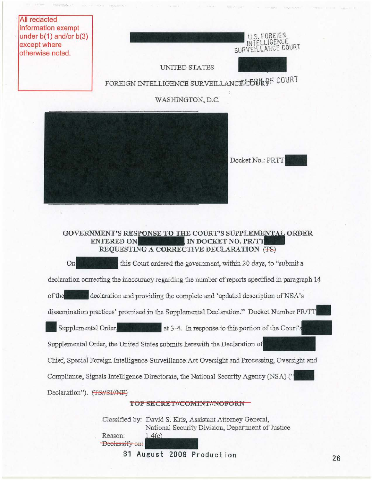

**<sup>31</sup> August 2009 Production 26**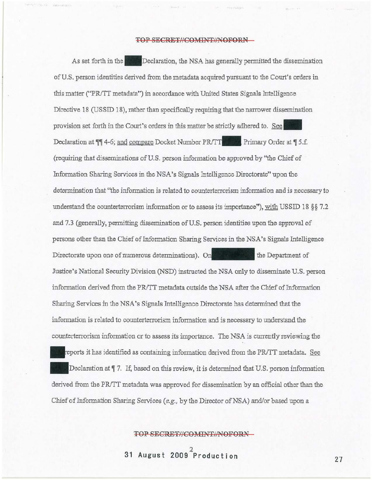## TOP SECRET//COMINT//NOFORN

As set forth in the **Declaration**, the NSA has generally permitted the dissemination of U.S, person identities derived from the metadata acquired pursuant to the Court's orders in this matter *("PR/TT* metadata") in accordance with United States Signals Intelligence Directive 18 (USSID 18), rather than specifically requiring that the narrower dissemination provision set forth in the Conrt's orders in this matter be strictly adhered to. **See.**  Declaration at  $\P$ <sup>4</sup>-6; and compare Docket Number PR/TT **PRFF**, Primary Order at  $\P$ 5.f. (requiring that disseminations of U.S. person information be approved by "the Chief of Information Sharing Services in the NSA's Signals Intelligence Directorate" upon the determination that "the information is related to counterterrorism information and is necessary to understand the counterterrorism information or to assess its importance''), with USSID 18 §§ 7.2 and 7.3 (generally, pennitting dissemination of U.S. person identities upon the approval of persons other than the Chief of Information Sharing Services in the NSA's Signals Intelligence Directorate upon one of numerous determinations). On the Department of Justice's National Security Division (NSD) instrncted the NSA only to disseminate U.S. person information derived from the PR/TT metadata outside the NSA after the Chief of Information Sharing Services in the NSA's Signals Intelligence Directorate has detemrined that the information is related to counterterrorism information and is necessary to understand the counterterrorism information or to assess its importance. The NSA is currently reviewing the reports it has identified as containing information derived from the PR/TT metadata. See Declaration at  $\P$  7. If, based on this review, it is determined that U.S. person information derived from the PR/TT metadata was approved for dissemination by an official other than the Chief of Information Sharing Services (e.g., by the Director of NSA) and/or based upon a

TOP SECRET//COMINT//NOFORN

2 **31 August 2009 Production** 27